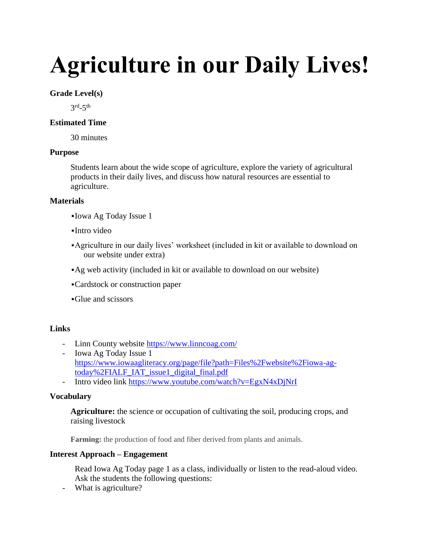# **Agriculture in our Daily Lives!**

## **Grade Level(s)**

 $3<sup>rd</sup> - 5<sup>th</sup>$ 

# **Estimated Time**

30 minutes

## **Purpose**

Students learn about the wide scope of agriculture, explore the variety of agricultural products in their daily lives, and discuss how natural resources are essential to agriculture.

## **Materials**

- ▪Iowa Ag Today Issue 1
- $\blacksquare$ Intro video
- ▪Agriculture in our daily lives' worksheet (included in kit or available to download on our website under extra)
- ▪Ag web activity (included in kit or available to download on our website)
- ▪Cardstock or construction paper
- ▪Glue and scissors

# **Links**

- Linn County website<https://www.linncoag.com/>
- Iowa Ag Today Issue 1 [https://www.iowaagliteracy.org/page/file?path=Files%2Fwebsite%2Fiowa-ag](https://www.iowaagliteracy.org/page/file?path=Files%2Fwebsite%2Fiowa-ag-today%2FIALF_IAT_issue1_digital_final.pdf)[today%2FIALF\\_IAT\\_issue1\\_digital\\_final.pdf](https://www.iowaagliteracy.org/page/file?path=Files%2Fwebsite%2Fiowa-ag-today%2FIALF_IAT_issue1_digital_final.pdf)
- Intro video link <https://www.youtube.com/watch?v=EgxN4xDjNrI>

# **Vocabulary**

**Agriculture:** the science or occupation of cultivating the soil, producing crops, and raising livestock

**Farming:** the production of food and fiber derived from plants and animals.

#### **Interest Approach – Engagement**

Read Iowa Ag Today page 1 as a class, individually or listen to the read-aloud video. Ask the students the following questions:

- What is agriculture?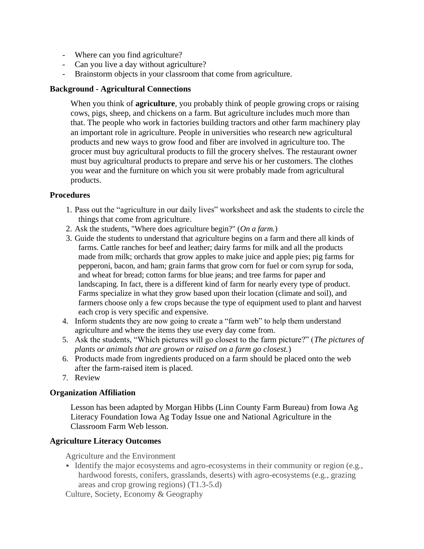- Where can you find agriculture?
- Can you live a day without agriculture?
- Brainstorm objects in your classroom that come from agriculture.

#### **Background - Agricultural Connections**

When you think of **agriculture**, you probably think of people growing crops or raising cows, pigs, sheep, and chickens on a farm. But agriculture includes much more than that. The people who work in factories building tractors and other farm machinery play an important role in agriculture. People in universities who research new agricultural products and new ways to grow food and fiber are involved in agriculture too. The grocer must buy agricultural products to fill the grocery shelves. The restaurant owner must buy agricultural products to prepare and serve his or her customers. The clothes you wear and the furniture on which you sit were probably made from agricultural products.

#### **Procedures**

- 1. Pass out the "agriculture in our daily lives" worksheet and ask the students to circle the things that come from agriculture.
- 2. Ask the students, "Where does agriculture begin?" (*On a farm.*)
- 3. Guide the students to understand that agriculture begins on a farm and there all kinds of farms. Cattle ranches for beef and leather; dairy farms for milk and all the products made from milk; orchards that grow apples to make juice and apple pies; pig farms for pepperoni, bacon, and ham; grain farms that grow corn for fuel or corn syrup for soda, and wheat for bread; cotton farms for blue jeans; and tree farms for paper and landscaping. In fact, there is a different kind of farm for nearly every type of product. Farms specialize in what they grow based upon their location (climate and soil), and farmers choose only a few crops because the type of equipment used to plant and harvest each crop is very specific and expensive.
- 4. Inform students they are now going to create a "farm web" to help them understand agriculture and where the items they use every day come from.
- 5. Ask the students, "Which pictures will go closest to the farm picture?" (*The pictures of plants or animals that are grown or raised on a farm go closest.*)
- 6. Products made from ingredients produced on a farm should be placed onto the web after the farm-raised item is placed.
- 7. Review

#### **Organization Affiliation**

Lesson has been adapted by Morgan Hibbs (Linn County Farm Bureau) from Iowa Ag Literacy Foundation Iowa Ag Today Issue one and National Agriculture in the Classroom Farm Web lesson.

#### **Agriculture Literacy Outcomes**

Agriculture and the Environment

▪ Identify the major ecosystems and agro-ecosystems in their community or region (e.g., hardwood forests, conifers, grasslands, deserts) with agro-ecosystems (e.g., grazing areas and crop growing regions) (T1.3-5.d)

Culture, Society, Economy & Geography